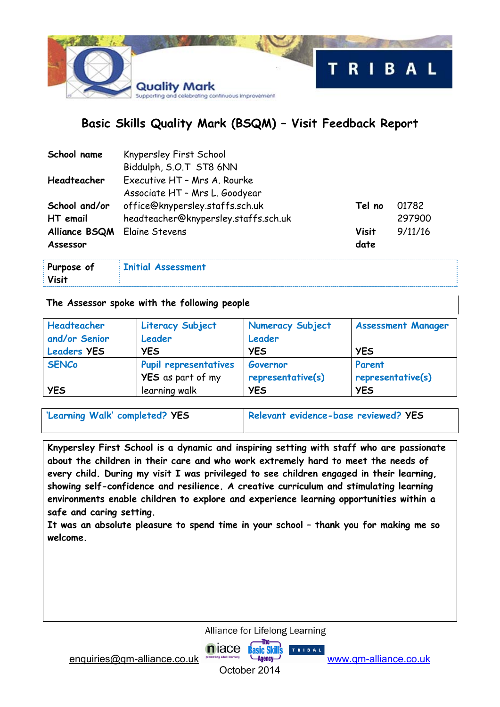

# **Basic Skills Quality Mark (BSQM) – Visit Feedback Report**

| School name   | Knypersley First School              |        |         |
|---------------|--------------------------------------|--------|---------|
|               | Biddulph, S.O.T ST8 6NN              |        |         |
| Headteacher   | Executive HT - Mrs A. Rourke         |        |         |
|               | Associate HT - Mrs L. Goodyear       |        |         |
| School and/or | office@knypersley.staffs.sch.uk      | Tel no | 01782   |
| HT email      | headteacher@knypersley.staffs.sch.uk |        | 297900  |
| Alliance BSQM | Elaine Stevens                       | Visit  | 9/11/16 |
| Assessor      |                                      | date   |         |
|               |                                      |        |         |

| Purpose of | Initial Assessment |  |
|------------|--------------------|--|
| Visit      |                    |  |

#### **The Assessor spoke with the following people**

| Headteacher        | <b>Literacy Subject</b>  | <b>Numeracy Subject</b> | <b>Assessment Manager</b> |
|--------------------|--------------------------|-------------------------|---------------------------|
| and/or Senior      | Leader                   | Leader                  |                           |
| <b>Leaders YES</b> | <b>YES</b>               | <b>YES</b>              | <b>YES</b>                |
| <b>SENCo</b>       | Pupil representatives    | Governor                | Parent                    |
|                    | <b>YES</b> as part of my | representative(s)       | representative(s)         |
| <b>YES</b>         | learning walk            | <b>YES</b>              | <b>YES</b>                |

'Learning Walk' completed? YES Relevant evidence-base reviewed? YES

**Knypersley First School is a dynamic and inspiring setting with staff who are passionate about the children in their care and who work extremely hard to meet the needs of every child. During my visit I was privileged to see children engaged in their learning, showing self-confidence and resilience. A creative curriculum and stimulating learning environments enable children to explore and experience learning opportunities within a safe and caring setting.** 

**It was an absolute pleasure to spend time in your school – thank you for making me so welcome.** 

Alliance for Lifelong Learning

**Basic Skills** 

TRIBAL

enquiries@qm-alliance.co.uk www.qm-alliance.co.uk

niace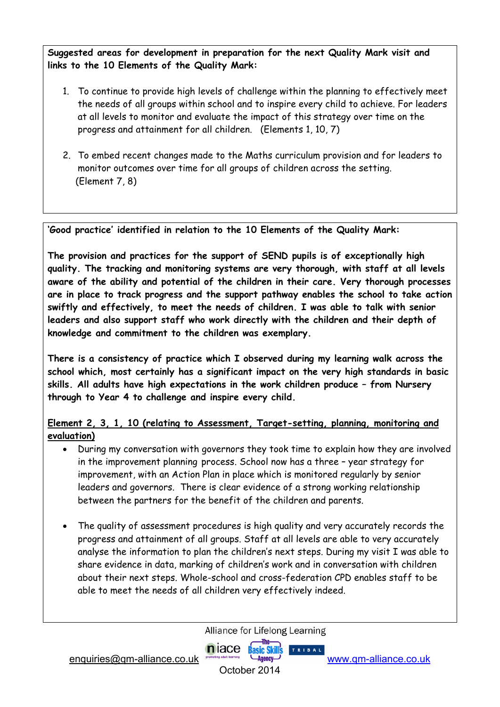**Suggested areas for development in preparation for the next Quality Mark visit and links to the 10 Elements of the Quality Mark:** 

- 1. To continue to provide high levels of challenge within the planning to effectively meet the needs of all groups within school and to inspire every child to achieve. For leaders at all levels to monitor and evaluate the impact of this strategy over time on the progress and attainment for all children. (Elements 1, 10, 7)
- 2. To embed recent changes made to the Maths curriculum provision and for leaders to monitor outcomes over time for all groups of children across the setting. (Element 7, 8)

**'Good practice' identified in relation to the 10 Elements of the Quality Mark:**

**The provision and practices for the support of SEND pupils is of exceptionally high quality. The tracking and monitoring systems are very thorough, with staff at all levels aware of the ability and potential of the children in their care. Very thorough processes are in place to track progress and the support pathway enables the school to take action swiftly and effectively, to meet the needs of children. I was able to talk with senior leaders and also support staff who work directly with the children and their depth of knowledge and commitment to the children was exemplary.** 

**There is a consistency of practice which I observed during my learning walk across the school which, most certainly has a significant impact on the very high standards in basic skills. All adults have high expectations in the work children produce – from Nursery through to Year 4 to challenge and inspire every child.** 

## **Element 2, 3, 1, 10 (relating to Assessment, Target-setting, planning, monitoring and evaluation)**

- During my conversation with governors they took time to explain how they are involved in the improvement planning process. School now has a three – year strategy for improvement, with an Action Plan in place which is monitored regularly by senior leaders and governors. There is clear evidence of a strong working relationship between the partners for the benefit of the children and parents.
- The quality of assessment procedures is high quality and very accurately records the progress and attainment of all groups. Staff at all levels are able to very accurately analyse the information to plan the children's next steps. During my visit I was able to share evidence in data, marking of children's work and in conversation with children about their next steps. Whole-school and cross-federation CPD enables staff to be able to meet the needs of all children very effectively indeed.

Alliance for Lifelong Learning

TRIBAL.

enquiries@qm-alliance.co.uk www.qm-alliance.co.uk

October 2014

niace Basic Skill's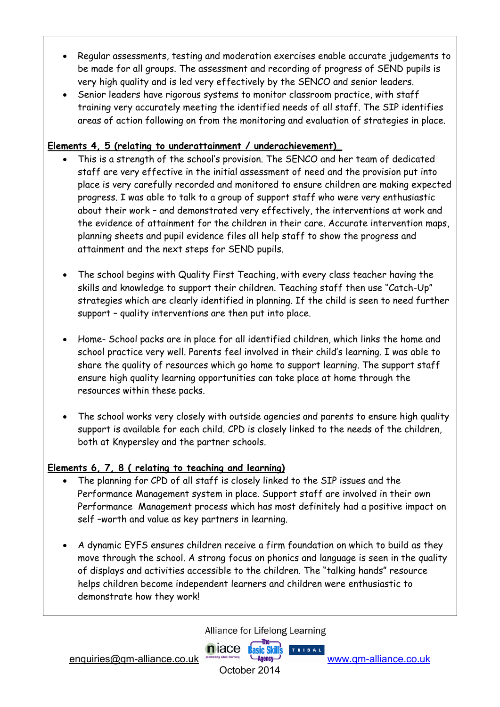- Regular assessments, testing and moderation exercises enable accurate judgements to be made for all groups. The assessment and recording of progress of SEND pupils is very high quality and is led very effectively by the SENCO and senior leaders.
- Senior leaders have rigorous systems to monitor classroom practice, with staff training very accurately meeting the identified needs of all staff. The SIP identifies areas of action following on from the monitoring and evaluation of strategies in place.

## **Elements 4, 5 (relating to underattainment / underachievement)\_**

- This is a strength of the school's provision. The SENCO and her team of dedicated staff are very effective in the initial assessment of need and the provision put into place is very carefully recorded and monitored to ensure children are making expected progress. I was able to talk to a group of support staff who were very enthusiastic about their work – and demonstrated very effectively, the interventions at work and the evidence of attainment for the children in their care. Accurate intervention maps, planning sheets and pupil evidence files all help staff to show the progress and attainment and the next steps for SEND pupils.
- The school begins with Quality First Teaching, with every class teacher having the skills and knowledge to support their children. Teaching staff then use "Catch-Up" strategies which are clearly identified in planning. If the child is seen to need further support – quality interventions are then put into place.
- Home- School packs are in place for all identified children, which links the home and school practice very well. Parents feel involved in their child's learning. I was able to share the quality of resources which go home to support learning. The support staff ensure high quality learning opportunities can take place at home through the resources within these packs.
- The school works very closely with outside agencies and parents to ensure high quality support is available for each child. CPD is closely linked to the needs of the children, both at Knypersley and the partner schools.

## **Elements 6, 7, 8 ( relating to teaching and learning)**

- The planning for CPD of all staff is closely linked to the SIP issues and the Performance Management system in place. Support staff are involved in their own Performance Management process which has most definitely had a positive impact on self –worth and value as key partners in learning.
- A dynamic EYFS ensures children receive a firm foundation on which to build as they move through the school. A strong focus on phonics and language is seen in the quality of displays and activities accessible to the children. The "talking hands" resource helps children become independent learners and children were enthusiastic to demonstrate how they work!

Alliance for Lifelong Learning

TRIBAL

enquiries@qm-alliance.co.uk www.qm-alliance.co.uk

October 2014

niace Basic Skills